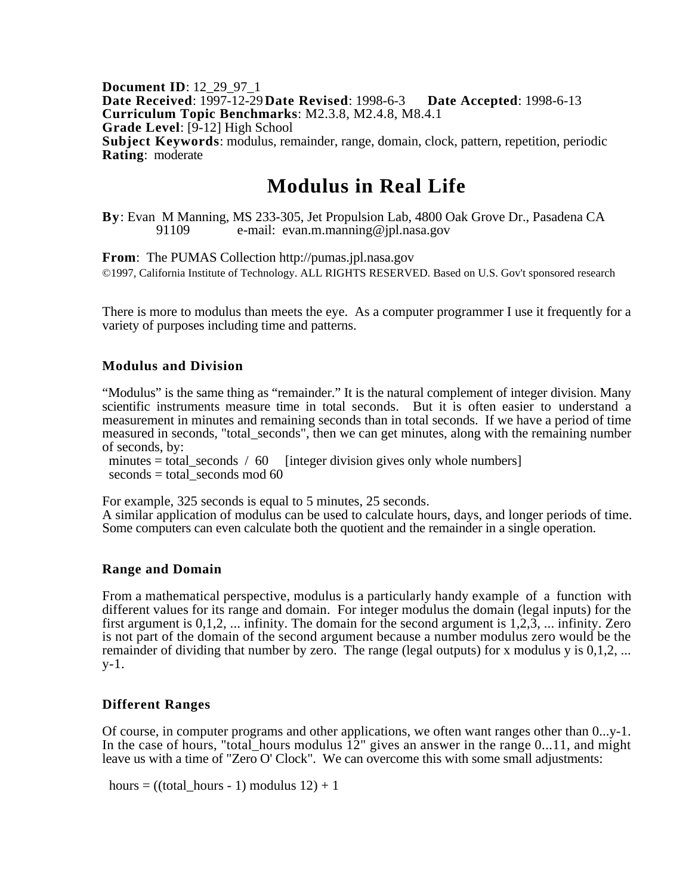**Document ID**: 12\_29\_97\_1 **Date Received**: 1997-12-29**Date Revised**: 1998-6-3 **Date Accepted**: 1998-6-13 **Curriculum Topic Benchmarks**: M2.3.8, M2.4.8, M8.4.1 **Grade Level**: [9-12] High School **Subject Keywords**: modulus, remainder, range, domain, clock, pattern, repetition, periodic **Rating**: moderate

# **Modulus in Real Life**

**By**: Evan M Manning, MS 233-305, Jet Propulsion Lab, 4800 Oak Grove Dr., Pasadena CA 91109 e-mail: evan.m.manning@ipl.nasa.gov e-mail: evan.m.manning@jpl.nasa.gov

**From**: The PUMAS Collection http://pumas.jpl.nasa.gov ©1997, California Institute of Technology. ALL RIGHTS RESERVED. Based on U.S. Gov't sponsored research

There is more to modulus than meets the eye. As a computer programmer I use it frequently for a variety of purposes including time and patterns.

## **Modulus and Division**

"Modulus" is the same thing as "remainder." It is the natural complement of integer division. Many scientific instruments measure time in total seconds. But it is often easier to understand a measurement in minutes and remaining seconds than in total seconds. If we have a period of time measured in seconds, "total\_seconds", then we can get minutes, along with the remaining number of seconds, by:

minutes = total\_seconds / 60 [integer division gives only whole numbers]  $seconds = total$  seconds mod 60

For example, 325 seconds is equal to 5 minutes, 25 seconds.

A similar application of modulus can be used to calculate hours, days, and longer periods of time. Some computers can even calculate both the quotient and the remainder in a single operation.

#### **Range and Domain**

From a mathematical perspective, modulus is a particularly handy example of a function with different values for its range and domain. For integer modulus the domain (legal inputs) for the first argument is 0,1,2, ... infinity. The domain for the second argument is 1,2,3, ... infinity. Zero is not part of the domain of the second argument because a number modulus zero would be the remainder of dividing that number by zero. The range (legal outputs) for x modulus y is 0,1,2, ... y-1.

# **Different Ranges**

Of course, in computer programs and other applications, we often want ranges other than 0...y-1. In the case of hours, "total\_hours modulus  $12$ " gives an answer in the range 0...11, and might leave us with a time of "Zero O' Clock". We can overcome this with some small adjustments:

hours = ((total hours - 1) modulus  $12$ ) + 1